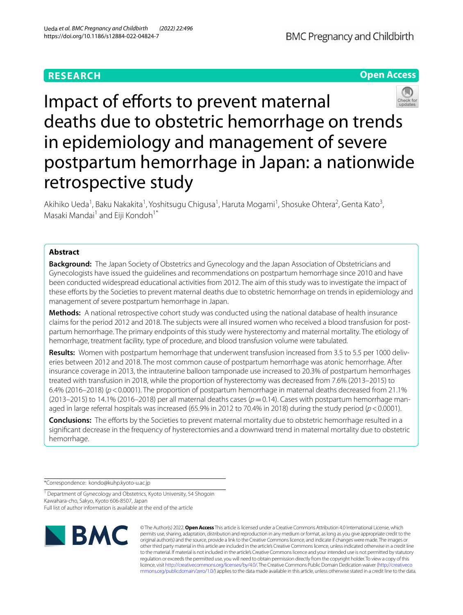## **RESEARCH**





Impact of efforts to prevent maternal deaths due to obstetric hemorrhage on trends in epidemiology and management of severe postpartum hemorrhage in Japan: a nationwide retrospective study

Akihiko Ueda<sup>1</sup>, Baku Nakakita<sup>1</sup>, Yoshitsugu Chigusa<sup>1</sup>, Haruta Mogami<sup>1</sup>, Shosuke Ohtera<sup>2</sup>, Genta Kato<sup>3</sup>, Masaki Mandai<sup>1</sup> and Eiji Kondoh<sup>1\*</sup>

## **Abstract**

**Background:** The Japan Society of Obstetrics and Gynecology and the Japan Association of Obstetricians and Gynecologists have issued the guidelines and recommendations on postpartum hemorrhage since 2010 and have been conducted widespread educational activities from 2012. The aim of this study was to investigate the impact of these eforts by the Societies to prevent maternal deaths due to obstetric hemorrhage on trends in epidemiology and management of severe postpartum hemorrhage in Japan.

**Methods:** A national retrospective cohort study was conducted using the national database of health insurance claims for the period 2012 and 2018. The subjects were all insured women who received a blood transfusion for postpartum hemorrhage. The primary endpoints of this study were hysterectomy and maternal mortality. The etiology of hemorrhage, treatment facility, type of procedure, and blood transfusion volume were tabulated.

**Results:** Women with postpartum hemorrhage that underwent transfusion increased from 3.5 to 5.5 per 1000 deliveries between 2012 and 2018. The most common cause of postpartum hemorrhage was atonic hemorrhage. After insurance coverage in 2013, the intrauterine balloon tamponade use increased to 20.3% of postpartum hemorrhages treated with transfusion in 2018, while the proportion of hysterectomy was decreased from 7.6% (2013–2015) to 6.4% (2016–2018) (*p*<0.0001). The proportion of postpartum hemorrhage in maternal deaths decreased from 21.1% (2013–2015) to 14.1% (2016–2018) per all maternal deaths cases ( $p=0.14$ ). Cases with postpartum hemorrhage managed in large referral hospitals was increased (65.9% in 2012 to 70.4% in 2018) during the study period ( $p$ <0.0001).

**Conclusions:** The eforts by the Societies to prevent maternal mortality due to obstetric hemorrhage resulted in a signifcant decrease in the frequency of hysterectomies and a downward trend in maternal mortality due to obstetric hemorrhage.

\*Correspondence: kondo@kuhp.kyoto-u.ac.jp

<sup>1</sup> Department of Gynecology and Obstetrics, Kyoto University, 54 Shogoin Kawahara-cho, Sakyo, Kyoto 606-8507, Japan Full list of author information is available at the end of the article



© The Author(s) 2022. **Open Access** This article is licensed under a Creative Commons Attribution 4.0 International License, which permits use, sharing, adaptation, distribution and reproduction in any medium or format, as long as you give appropriate credit to the original author(s) and the source, provide a link to the Creative Commons licence, and indicate if changes were made. The images or other third party material in this article are included in the article's Creative Commons licence, unless indicated otherwise in a credit line to the material. If material is not included in the article's Creative Commons licence and your intended use is not permitted by statutory regulation or exceeds the permitted use, you will need to obtain permission directly from the copyright holder. To view a copy of this licence, visit [http://creativecommons.org/licenses/by/4.0/.](http://creativecommons.org/licenses/by/4.0/) The Creative Commons Public Domain Dedication waiver ([http://creativeco](http://creativecommons.org/publicdomain/zero/1.0/) [mmons.org/publicdomain/zero/1.0/](http://creativecommons.org/publicdomain/zero/1.0/)) applies to the data made available in this article, unless otherwise stated in a credit line to the data.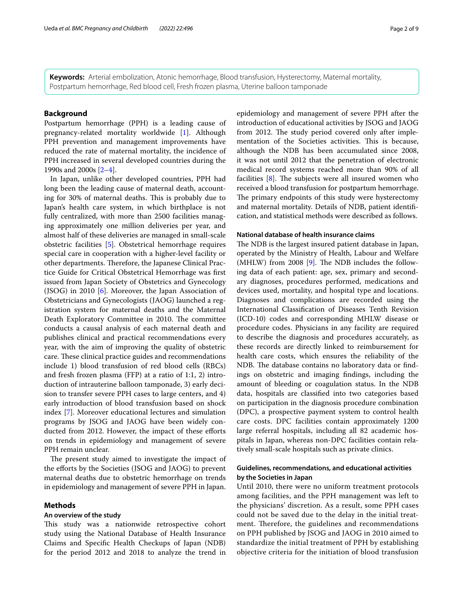**Keywords:** Arterial embolization, Atonic hemorrhage, Blood transfusion, Hysterectomy, Maternal mortality, Postpartum hemorrhage, Red blood cell, Fresh frozen plasma, Uterine balloon tamponade

## **Background**

Postpartum hemorrhage (PPH) is a leading cause of pregnancy-related mortality worldwide [[1\]](#page-8-0). Although PPH prevention and management improvements have reduced the rate of maternal mortality, the incidence of PPH increased in several developed countries during the 1990s and 2000s [[2–](#page-8-1)[4\]](#page-8-2).

In Japan, unlike other developed countries, PPH had long been the leading cause of maternal death, accounting for 30% of maternal deaths. This is probably due to Japan's health care system, in which birthplace is not fully centralized, with more than 2500 facilities managing approximately one million deliveries per year, and almost half of these deliveries are managed in small-scale obstetric facilities [\[5](#page-8-3)]. Obstetrical hemorrhage requires special care in cooperation with a higher-level facility or other departments. Therefore, the Japanese Clinical Practice Guide for Critical Obstetrical Hemorrhage was frst issued from Japan Society of Obstetrics and Gynecology (JSOG) in 2010 [[6\]](#page-8-4). Moreover, the Japan Association of Obstetricians and Gynecologists (JAOG) launched a registration system for maternal deaths and the Maternal Death Exploratory Committee in 2010. The committee conducts a causal analysis of each maternal death and publishes clinical and practical recommendations every year, with the aim of improving the quality of obstetric care. These clinical practice guides and recommendations include 1) blood transfusion of red blood cells (RBCs) and fresh frozen plasma (FFP) at a ratio of 1:1, 2) introduction of intrauterine balloon tamponade, 3) early decision to transfer severe PPH cases to large centers, and 4) early introduction of blood transfusion based on shock index [[7\]](#page-8-5). Moreover educational lectures and simulation programs by JSOG and JAOG have been widely conducted from 2012. However, the impact of these eforts on trends in epidemiology and management of severe PPH remain unclear.

The present study aimed to investigate the impact of the eforts by the Societies (JSOG and JAOG) to prevent maternal deaths due to obstetric hemorrhage on trends in epidemiology and management of severe PPH in Japan.

#### **Methods**

## **An overview of the study**

This study was a nationwide retrospective cohort study using the National Database of Health Insurance Claims and Specifc Health Checkups of Japan (NDB) for the period 2012 and 2018 to analyze the trend in epidemiology and management of severe PPH after the introduction of educational activities by JSOG and JAOG from 2012. The study period covered only after implementation of the Societies activities. This is because, although the NDB has been accumulated since 2008, it was not until 2012 that the penetration of electronic medical record systems reached more than 90% of all facilities  $[8]$  $[8]$ . The subjects were all insured women who received a blood transfusion for postpartum hemorrhage. The primary endpoints of this study were hysterectomy and maternal mortality. Details of NDB, patient identifcation, and statistical methods were described as follows.

## **National database of health insurance claims**

The NDB is the largest insured patient database in Japan, operated by the Ministry of Health, Labour and Welfare (MHLW) from 2008  $[9]$  $[9]$ . The NDB includes the following data of each patient: age, sex, primary and secondary diagnoses, procedures performed, medications and devices used, mortality, and hospital type and locations. Diagnoses and complications are recorded using the International Classifcation of Diseases Tenth Revision (ICD-10) codes and corresponding MHLW disease or procedure codes. Physicians in any facility are required to describe the diagnosis and procedures accurately, as these records are directly linked to reimbursement for health care costs, which ensures the reliability of the NDB. The database contains no laboratory data or findings on obstetric and imaging fndings, including the amount of bleeding or coagulation status. In the NDB data, hospitals are classifed into two categories based on participation in the diagnosis procedure combination (DPC), a prospective payment system to control health care costs. DPC facilities contain approximately 1200 large referral hospitals, including all 82 academic hospitals in Japan, whereas non-DPC facilities contain relatively small-scale hospitals such as private clinics.

## **Guidelines, recommendations, and educational activities by the Societies in Japan**

Until 2010, there were no uniform treatment protocols among facilities, and the PPH management was left to the physicians' discretion. As a result, some PPH cases could not be saved due to the delay in the initial treatment. Therefore, the guidelines and recommendations on PPH published by JSOG and JAOG in 2010 aimed to standardize the initial treatment of PPH by establishing objective criteria for the initiation of blood transfusion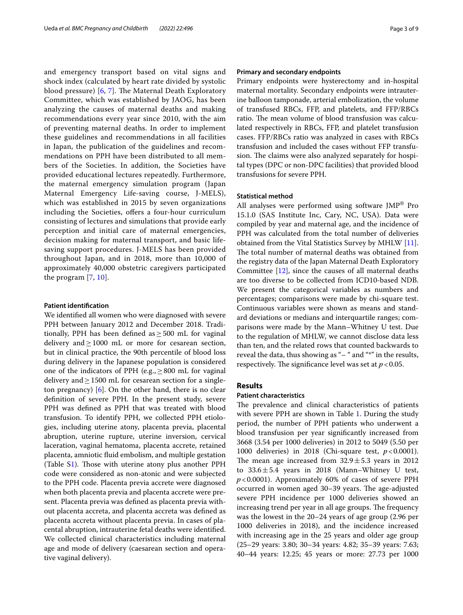and emergency transport based on vital signs and shock index (calculated by heart rate divided by systolic blood pressure)  $[6, 7]$  $[6, 7]$  $[6, 7]$  $[6, 7]$  $[6, 7]$ . The Maternal Death Exploratory Committee, which was established by JAOG, has been analyzing the causes of maternal deaths and making recommendations every year since 2010, with the aim of preventing maternal deaths. In order to implement these guidelines and recommendations in all facilities in Japan, the publication of the guidelines and recommendations on PPH have been distributed to all members of the Societies. In addition, the Societies have provided educational lectures repeatedly. Furthermore, the maternal emergency simulation program (Japan Maternal Emergency Life-saving course, J-MELS), which was established in 2015 by seven organizations including the Societies, offers a four-hour curriculum consisting of lectures and simulations that provide early perception and initial care of maternal emergencies, decision making for maternal transport, and basic lifesaving support procedures. J-MELS has been provided throughout Japan, and in 2018, more than 10,000 of approximately 40,000 obstetric caregivers participated the program [[7,](#page-8-5) [10\]](#page-8-8).

#### **Patient identifcation**

We identifed all women who were diagnosed with severe PPH between January 2012 and December 2018. Traditionally, PPH has been defined as  $\geq$  500 mL for vaginal delivery and  $\geq$  1000 mL or more for cesarean section, but in clinical practice, the 90th percentile of blood loss during delivery in the Japanese population is considered one of the indicators of PPH (e.g.,  $\geq$  800 mL for vaginal delivery and  $\geq$  1500 mL for cesarean section for a singleton pregnancy) [\[6\]](#page-8-4). On the other hand, there is no clear defnition of severe PPH. In the present study, severe PPH was defned as PPH that was treated with blood transfusion. To identify PPH, we collected PPH etiologies, including uterine atony, placenta previa, placental abruption, uterine rupture, uterine inversion, cervical laceration, vaginal hematoma, placenta accrete, retained placenta, amniotic fuid embolism, and multiple gestation (Table [S1](#page-7-0)). Those with uterine atony plus another PPH code were considered as non-atonic and were subjected to the PPH code. Placenta previa accrete were diagnosed when both placenta previa and placenta accrete were present. Placenta previa was defned as placenta previa without placenta accreta, and placenta accreta was defned as placenta accreta without placenta previa. In cases of placental abruption, intrauterine fetal deaths were identifed. We collected clinical characteristics including maternal age and mode of delivery (caesarean section and operative vaginal delivery).

## **Primary and secondary endpoints**

Primary endpoints were hysterectomy and in-hospital maternal mortality. Secondary endpoints were intrauterine balloon tamponade, arterial embolization, the volume of transfused RBCs, FFP, and platelets, and FFP/RBCs ratio. The mean volume of blood transfusion was calculated respectively in RBCs, FFP, and platelet transfusion cases. FFP/RBCs ratio was analyzed in cases with RBCs transfusion and included the cases without FFP transfusion. The claims were also analyzed separately for hospital types (DPC or non-DPC facilities) that provided blood transfusions for severe PPH.

#### **Statistical method**

All analyses were performed using software JMP® Pro 15.1.0 (SAS Institute Inc, Cary, NC, USA). Data were compiled by year and maternal age, and the incidence of PPH was calculated from the total number of deliveries obtained from the Vital Statistics Survey by MHLW [\[11](#page-8-9)]. The total number of maternal deaths was obtained from the registry data of the Japan Maternal Death Exploratory Committee [[12\]](#page-8-10), since the causes of all maternal deaths are too diverse to be collected from ICD10-based NDB. We present the categorical variables as numbers and percentages; comparisons were made by chi-square test. Continuous variables were shown as means and standard deviations or medians and interquartile ranges; comparisons were made by the Mann–Whitney U test. Due to the regulation of MHLW, we cannot disclose data less than ten, and the related rows that counted backwards to reveal the data, thus showing as "– " and "\*" in the results, respectively. The significance level was set at  $p < 0.05$ .

## **Results**

#### **Patient characteristics**

The prevalence and clinical characteristics of patients with severe PPH are shown in Table [1.](#page-3-0) During the study period, the number of PPH patients who underwent a blood transfusion per year signifcantly increased from 3668 (3.54 per 1000 deliveries) in 2012 to 5049 (5.50 per 1000 deliveries) in 2018 (Chi-square test, *p*<0.0001). The mean age increased from  $32.9 \pm 5.3$  years in 2012 to  $33.6 \pm 5.4$  years in 2018 (Mann–Whitney U test, *p*<0.0001). Approximately 60% of cases of severe PPH occurred in women aged 30–39 years. The age-adjusted severe PPH incidence per 1000 deliveries showed an increasing trend per year in all age groups. The frequency was the lowest in the 20–24 years of age group (2.96 per 1000 deliveries in 2018), and the incidence increased with increasing age in the 25 years and older age group (25–29 years: 3.80; 30–34 years: 4.82; 35–39 years: 7.63; 40–44 years: 12.25; 45 years or more: 27.73 per 1000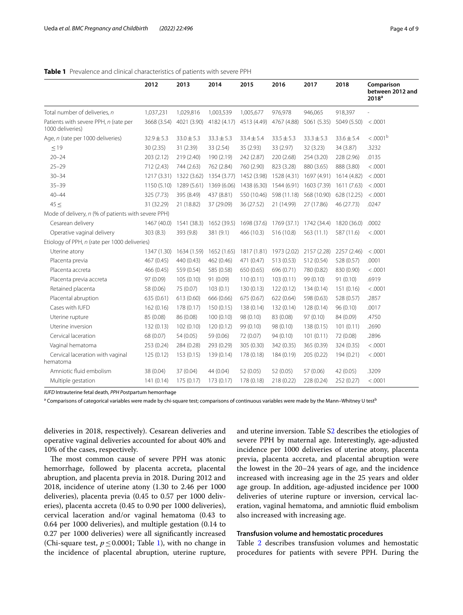## <span id="page-3-0"></span>**Table 1** Prevalence and clinical characteristics of patients with severe PPH

|                                                           | 2012           | 2013           | 2014           | 2015           | 2016           | 2017                    | 2018           | Comparison<br>between 2012 and<br>2018 <sup>a</sup> |
|-----------------------------------------------------------|----------------|----------------|----------------|----------------|----------------|-------------------------|----------------|-----------------------------------------------------|
| Total number of deliveries, n                             | 1,037,231      | 1,029,816      | 1,003,539      | 1,005,677      | 976,978        | 946,065                 | 918,397        |                                                     |
| Patients with severe PPH, n (rate per<br>1000 deliveries) | 3668 (3.54)    | 4021 (3.90)    | 4182 (4.17)    | 4513 (4.49)    | 4767 (4.88)    | 5061 (5.35)             | 5049 (5.50)    | < .0001                                             |
| Age, n (rate per 1000 deliveries)                         | $32.9 \pm 5.3$ | $33.0 \pm 5.3$ | $33.3 \pm 5.3$ | $33.4 \pm 5.4$ | $33.5 \pm 5.3$ | $33.3 \pm 5.3$          | $33.6 \pm 5.4$ | $< .0001$ <sup>b</sup>                              |
| $\leq$ 19                                                 | 30(2.35)       | 31 (2.39)      | 33 (2.54)      | 35 (2.93)      | 33 (2.97)      | 32 (3.23)               | 34 (3.87)      | .3232                                               |
| $20 - 24$                                                 | 203 (2.12)     | 219 (2.40)     | 190 (2.19)     | 242 (2.87)     | 220 (2.68)     | 254 (3.20)              | 228 (2.96)     | .0135                                               |
| $25 - 29$                                                 | 712 (2.43)     | 744 (2.63)     | 762 (2.84)     | 760 (2.90)     | 823 (3.28)     | 880 (3.65)              | 888 (3.80)     | < .0001                                             |
| $30 - 34$                                                 | 1217(3.31)     | 1322 (3.62)    | 1354 (3.77)    | 1452 (3.98)    | 1528 (4.31)    | 1697 (4.91)             | 1614 (4.82)    | < .0001                                             |
| $35 - 39$                                                 | 1150(5.10)     | 1289 (5.61)    | 1369 (6.06)    | 1438 (6.30)    | 1544 (6.91)    | 1603 (7.39)             | 1611 (7.63)    | < .0001                                             |
| $40 - 44$                                                 | 325 (7.73)     | 395 (8.49)     | 437 (8.81)     | 550 (10.46)    | 598 (11.18)    | 568 (10.90)             | 628 (12.25)    | < .0001                                             |
| 45 <                                                      | 31 (32.29)     | 21 (18.82)     | 37 (29.09)     | 36 (27.52)     | 21 (14.99)     | 27 (17.86)              | 46 (27.73)     | .0247                                               |
| Mode of delivery, n (% of patients with severe PPH)       |                |                |                |                |                |                         |                |                                                     |
| Cesarean delivery                                         | 1467 (40.0)    | 1541 (38.3)    | 1652 (39.5)    | 1698 (37.6)    |                | 1769 (37.1) 1742 (34.4) | 1820 (36.0)    | .0002                                               |
| Operative vaginal delivery                                | 303(8.3)       | 393 (9.8)      | 381 (9.1)      | 466 (10.3)     | 516 (10.8)     | 563 (11.1)              | 587 (11.6)     | < .0001                                             |
| Etiology of PPH, n (rate per 1000 deliveries)             |                |                |                |                |                |                         |                |                                                     |
| Uterine atony                                             | 1347 (1.30)    | 1634 (1.59)    | 1652 (1.65)    | 1817 (1.81)    | 1973 (2.02)    | 2157 (2.28)             | 2257 (2.46)    | < .0001                                             |
| Placenta previa                                           | 467 (0.45)     | 440 (0.43)     | 462 (0.46)     | 471 (0.47)     | 513 (0.53)     | 512 (0.54)              | 528 (0.57)     | .0001                                               |
| Placenta accreta                                          | 466 (0.45)     | 559 (0.54)     | 585 (0.58)     | 650 (0.65)     | 696 (0.71)     | 780 (0.82)              | 830 (0.90)     | < .0001                                             |
| Placenta previa accreta                                   | 97 (0.09)      | 105(0.10)      | 91 (0.09)      | 110(0.11)      | 103(0.11)      | 99 (0.10)               | 91(0.10)       | .6919                                               |
| Retained placenta                                         | 58 (0.06)      | 75 (0.07)      | 103(0.1)       | 130(0.13)      | 122(0.12)      | 134(0.14)               | 151 (0.16)     | < .0001                                             |
| Placental abruption                                       | 635 (0.61)     | 613 (0.60)     | 666 (0.66)     | 675 (0.67)     | 622 (0.64)     | 598 (0.63)              | 528 (0.57)     | .2857                                               |
| Cases with IUFD                                           | 162(0.16)      | 178 (0.17)     | 150(0.15)      | 138 (0.14)     | 132(0.14)      | 128 (0.14)              | 96(0.10)       | .0017                                               |
| Uterine rupture                                           | 85 (0.08)      | 86 (0.08)      | 100(0.10)      | 98 (0.10)      | 83 (0.08)      | 97(0.10)                | 84 (0.09)      | .4750                                               |
| Uterine inversion                                         | 132 (0.13)     | 102(0.10)      | 120(0.12)      | 99 (0.10)      | 98 (0.10)      | 138 (0.15)              | 101(0.11)      | .2690                                               |
| Cervical laceration                                       | 68 (0.07)      | 54 (0.05)      | 59 (0.06)      | 72 (0.07)      | 94 (0.10)      | 101(0.11)               | 72 (0.08)      | .2896                                               |
| Vaginal hematoma                                          | 253 (0.24)     | 284 (0.28)     | 293 (0.29)     | 305 (0.30)     | 342 (0.35)     | 365 (0.39)              | 324 (0.35)     | < .0001                                             |
| Cervical laceration with vaginal<br>hematoma              | 125(0.12)      | 153(0.15)      | 139 (0.14)     | 178 (0.18)     | 184 (0.19)     | 205 (0.22)              | 194 (0.21)     | < .0001                                             |
| Amniotic fluid embolism                                   | 38 (0.04)      | 37 (0.04)      | 44 (0.04)      | 52 (0.05)      | 52 (0.05)      | 57 (0.06)               | 42 (0.05)      | .3209                                               |
| Multiple gestation                                        | 141(0.14)      | 175 (0.17)     | 173 (0.17)     | 178 (0.18)     | 218 (0.22)     | 228 (0.24)              | 252 (0.27)     | < .0001                                             |

*IUFD* Intrauterine fetal death, *PPH P*ostpartum hemorrhage

 $^{\rm a}$  Comparisons of categorical variables were made by chi-square test; comparisons of continuous variables were made by the Mann–Whitney U test $^{\rm t}$ 

deliveries in 2018, respectively). Cesarean deliveries and operative vaginal deliveries accounted for about 40% and 10% of the cases, respectively.

The most common cause of severe PPH was atonic hemorrhage, followed by placenta accreta, placental abruption, and placenta previa in 2018. During 2012 and 2018, incidence of uterine atony (1.30 to 2.46 per 1000 deliveries), placenta previa (0.45 to 0.57 per 1000 deliveries), placenta accreta (0.45 to 0.90 per 1000 deliveries), cervical laceration and/or vaginal hematoma (0.43 to 0.64 per 1000 deliveries), and multiple gestation (0.14 to 0.27 per 1000 deliveries) were all signifcantly increased (Chi-square test,  $p \le 0.0001$ ; Table [1\)](#page-3-0), with no change in the incidence of placental abruption, uterine rupture, and uterine inversion. Table S[2](#page-7-0) describes the etiologies of severe PPH by maternal age. Interestingly, age-adjusted incidence per 1000 deliveries of uterine atony, placenta previa, placenta accreta, and placental abruption were the lowest in the 20–24 years of age, and the incidence increased with increasing age in the 25 years and older age group. In addition, age-adjusted incidence per 1000 deliveries of uterine rupture or inversion, cervical laceration, vaginal hematoma, and amniotic fuid embolism also increased with increasing age.

## **Transfusion volume and hemostatic procedures**

Table [2](#page-4-0) describes transfusion volumes and hemostatic procedures for patients with severe PPH. During the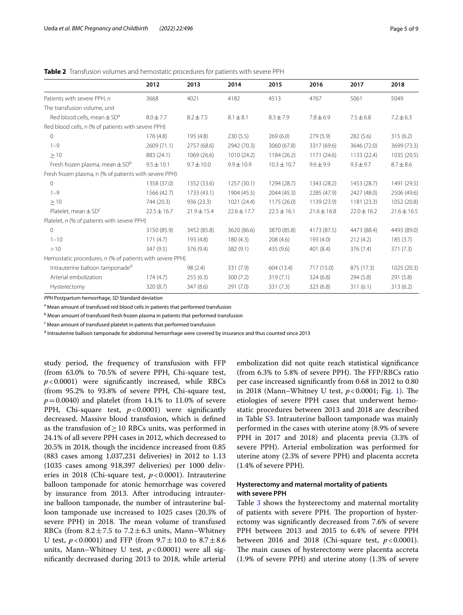<span id="page-4-0"></span>

|                                                          | 2012            | 2013            | 2014            | 2015            | 2016            | 2017            | 2018            |
|----------------------------------------------------------|-----------------|-----------------|-----------------|-----------------|-----------------|-----------------|-----------------|
| Patients with severe PPH, n                              | 3668            | 4021            | 4182            | 4513            | 4767            | 5061            | 5049            |
| The transfusion volume, unit                             |                 |                 |                 |                 |                 |                 |                 |
| Red blood cells, mean $\pm$ SD <sup>a</sup>              | $8.0 \pm 7.7$   | $8.2 \pm 7.5$   | $8.1 \pm 8.1$   | $8.3 \pm 7.9$   | $7.8 \pm 6.9$   | $7.5 \pm 6.8$   | $7.2 \pm 6.3$   |
| Red blood cells, n (% of patients with severe PPH)       |                 |                 |                 |                 |                 |                 |                 |
| $\mathbf{0}$                                             | 176(4.8)        | 195 (4.8)       | 230(5.5)        | 269(6.0)        | 279(5.9)        | 282(5.6)        | 315(6.2)        |
| $1 - 9$                                                  | 2609 (71.1)     | 2757 (68.6)     | 2942 (70.3)     | 3060 (67.8)     | 3317 (69.6)     | 3646 (72.0)     | 3699 (73.3)     |
| $\geq 10$                                                | 883 (24.1)      | 1069 (26.6)     | 1010 (24.2)     | 1184 (26.2)     | 1171(24.6)      | 1133 (22.4)     | 1035 (20.5)     |
| Fresh frozen plasma, mean $\pm$ SD <sup>b</sup>          | $9.5 \pm 10.1$  | $9.7 \pm 10.0$  | $9.9 \pm 10.9$  | $10.3 \pm 10.7$ | $9.6 \pm 9.9$   | $9.3 \pm 9.7$   | $8.7 \pm 8.6$   |
| Fresh frozen plasma, n (% of patients with severe PPH)   |                 |                 |                 |                 |                 |                 |                 |
| $\Omega$                                                 | 1358 (37.0)     | 1352 (33.6)     | 1257(30.1)      | 1294 (28.7)     | 1343 (28.2)     | 1453 (28.7)     | 1491 (29.5)     |
| $1 - 9$                                                  | 1566 (42.7)     | 1733 (43.1)     | 1904 (45.5)     | 2044 (45.3)     | 2285 (47.9)     | 2427 (48.0)     | 2506 (49.6)     |
| $\geq 10$                                                | 744 (20.3)      | 936 (23.3)      | 1021 (24.4)     | 1175 (26.0)     | 1139 (23.9)     | 1181(23.3)      | 1052 (20.8)     |
| Platelet, mean $\pm$ SD <sup>c</sup>                     | $22.5 \pm 16.7$ | $21.9 \pm 15.4$ | $22.6 \pm 17.7$ | $22.5 \pm 16.1$ | $21.6 \pm 16.8$ | $22.0 \pm 16.2$ | $21.6 \pm 16.5$ |
| Platelet, n (% of patients with severe PPH)              |                 |                 |                 |                 |                 |                 |                 |
| $\Omega$                                                 | 3150 (85.9)     | 3452 (85.8)     | 3620 (86.6)     | 3870 (85.8)     | 4173 (87.5)     | 4473 (88.4)     | 4493 (89.0)     |
| $1 - 10$                                                 | 171(4.7)        | 193 (4.8)       | 180(4.3)        | 208(4.6)        | 193 (4.0)       | 212(4.2)        | 185(3.7)        |
| >10                                                      | 347 (9.5)       | 376 (9.4)       | 382(9.1)        | 435 (9.6)       | 401 (8.4)       | 376 (7.4)       | 371 (7.3)       |
| Hemostatic procedures, n (% of patients with severe PPH) |                 |                 |                 |                 |                 |                 |                 |
| Intrauterine balloon tamponade <sup>d</sup>              |                 | 98(2.4)         | 331 (7.9)       | 604 (13.4)      | 717 (15.0)      | 875 (17.3)      | 1025 (20.3)     |
| Arterial embolization                                    | 174(4.7)        | 255(6.3)        | 300(7.2)        | 319(7.1)        | 324(6.8)        | 294 (5.8)       | 291 (5.8)       |
| Hysterectomy                                             | 320 (8.7)       | 347 (8.6)       | 291 (7.0)       | 331 (7.3)       | 323(6.8)        | 311(6.1)        | 313(6.2)        |
|                                                          |                 |                 |                 |                 |                 |                 |                 |

*PPH* Postpartum hemorrhage, *SD* Standard deviation

<sup>a</sup> Mean amount of transfused red blood cells in patients that performed transfusion

<sup>b</sup> Mean amount of transfused fresh frozen plasma in patients that performed transfusion

<sup>c</sup> Mean amount of transfused platelet in patients that performed transfusion

<sup>d</sup> Intrauterine balloon tamponade for abdominal hemorrhage were covered by insurance and thus counted since 2013

study period, the frequency of transfusion with FFP (from 63.0% to 70.5% of severe PPH, Chi-square test, *p*<0.0001) were signifcantly increased, while RBCs (from 95.2% to 93.8% of severe PPH, Chi-square test,  $p = 0.0040$ ) and platelet (from 14.1% to 11.0% of severe PPH, Chi-square test, *p*<0.0001) were signifcantly decreased. Massive blood transfusion, which is defned as the transfusion of≥10 RBCs units, was performed in 24.1% of all severe PPH cases in 2012, which decreased to 20.5% in 2018, though the incidence increased from 0.85 (883 cases among 1,037,231 deliveries) in 2012 to 1.13 (1035 cases among 918,397 deliveries) per 1000 deliveries in 2018 (Chi-square test, *p*<0.0001). Intrauterine balloon tamponade for atonic hemorrhage was covered by insurance from 2013. After introducing intrauterine balloon tamponade, the number of intrauterine balloon tamponade use increased to 1025 cases (20.3% of severe PPH) in 2018. The mean volume of transfused RBCs (from  $8.2 \pm 7.5$  to  $7.2 \pm 6.3$  units, Mann–Whitney U test,  $p < 0.0001$ ) and FFP (from  $9.7 \pm 10.0$  to  $8.7 \pm 8.6$ ) units, Mann–Whitney U test,  $p < 0.0001$ ) were all signifcantly decreased during 2013 to 2018, while arterial

embolization did not quite reach statistical signifcance (from  $6.3\%$  to  $5.8\%$  of severe PPH). The FFP/RBCs ratio per case increased signifcantly from 0.68 in 2012 to 0.80 in 20[1](#page-5-0)8 (Mann–Whitney U test,  $p < 0.0001$ ; Fig. 1). The etiologies of severe PPH cases that underwent hemostatic procedures between 2013 and 2018 are described in Table [S3](#page-7-0). Intrauterine balloon tamponade was mainly performed in the cases with uterine atony (8.9% of severe PPH in 2017 and 2018) and placenta previa (3.3% of severe PPH). Arterial embolization was performed for uterine atony (2.3% of severe PPH) and placenta accreta (1.4% of severe PPH).

## **Hysterectomy and maternal mortality of patients with severe PPH**

Table [3](#page-5-1) shows the hysterectomy and maternal mortality of patients with severe PPH. The proportion of hysterectomy was signifcantly decreased from 7.6% of severe PPH between 2013 and 2015 to 6.4% of severe PPH between 2016 and 2018 (Chi-square test,  $p < 0.0001$ ). The main causes of hysterectomy were placenta accreta (1.9% of severe PPH) and uterine atony (1.3% of severe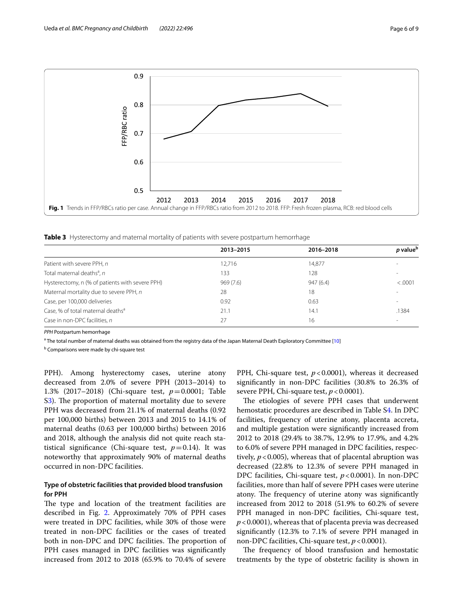

<span id="page-5-1"></span><span id="page-5-0"></span>**Table 3** Hysterectomy and maternal mortality of patients with severe postpartum hemorrhage

|                                                 | 2013-2015 | 2016-2018 | p value <sup>b</sup>     |
|-------------------------------------------------|-----------|-----------|--------------------------|
| Patient with severe PPH, n                      | 12,716    | 14,877    |                          |
| Total maternal deaths <sup>a</sup> , n          | 133       | 128       | $\overline{\phantom{a}}$ |
| Hysterectomy, n (% of patients with severe PPH) | 969(7.6)  | 947(6.4)  | < .0001                  |
| Maternal mortality due to severe PPH, n         | 28        | 18        | $\sim$                   |
| Case, per 100,000 deliveries                    | 0.92      | 0.63      | $\overline{\phantom{a}}$ |
| Case, % of total maternal deaths <sup>a</sup>   | 21.1      | 14.1      | .1384                    |
| Case in non-DPC facilities, n                   | 27        | 16        | $\overline{\phantom{a}}$ |

*PPH* Postpartum hemorrhage

<sup>a</sup> The total number of maternal deaths was obtained from the registry data of the Japan Maternal Death Exploratory Committee [\[10\]](#page-8-8)

<sup>b</sup> Comparisons were made by chi-square test

PPH). Among hysterectomy cases, uterine atony decreased from 2.0% of severe PPH (2013–2014) to 1.3% (2017–2018) (Chi-square test, *p*=0.0001; Table S[3\)](#page-7-0). The proportion of maternal mortality due to severe PPH was decreased from 21.1% of maternal deaths (0.92 per 100,000 births) between 2013 and 2015 to 14.1% of maternal deaths (0.63 per 100,000 births) between 2016 and 2018, although the analysis did not quite reach statistical significance (Chi-square test,  $p=0.14$ ). It was noteworthy that approximately 90% of maternal deaths occurred in non-DPC facilities.

## **Type of obstetric facilities that provided blood transfusion for PPH**

The type and location of the treatment facilities are described in Fig. [2.](#page-6-0) Approximately 70% of PPH cases were treated in DPC facilities, while 30% of those were treated in non-DPC facilities or the cases of treated both in non-DPC and DPC facilities. The proportion of PPH cases managed in DPC facilities was significantly increased from 2012 to 2018 (65.9% to 70.4% of severe

PPH, Chi-square test,  $p < 0.0001$ ), whereas it decreased signifcantly in non-DPC facilities (30.8% to 26.3% of severe PPH, Chi-square test,  $p < 0.0001$ ).

The etiologies of severe PPH cases that underwent hemostatic procedures are described in Table [S4](#page-7-0). In DPC facilities, frequency of uterine atony, placenta accreta, and multiple gestation were signifcantly increased from 2012 to 2018 (29.4% to 38.7%, 12.9% to 17.9%, and 4.2% to 6.0% of severe PPH managed in DPC facilities, respectively,  $p < 0.005$ ), whereas that of placental abruption was decreased (22.8% to 12.3% of severe PPH managed in DPC facilities, Chi-square test, *p*<0.0001). In non-DPC facilities, more than half of severe PPH cases were uterine atony. The frequency of uterine atony was significantly increased from 2012 to 2018 (51.9% to 60.2% of severe PPH managed in non-DPC facilities, Chi-square test, *p*<0.0001), whereas that of placenta previa was decreased signifcantly (12.3% to 7.1% of severe PPH managed in non-DPC facilities, Chi-square test,  $p < 0.0001$ ).

The frequency of blood transfusion and hemostatic treatments by the type of obstetric facility is shown in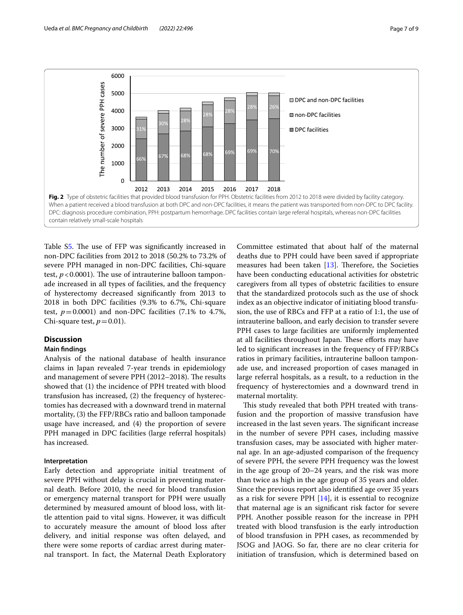

<span id="page-6-0"></span>Table S[5.](#page-7-0) The use of FFP was significantly increased in non-DPC facilities from 2012 to 2018 (50.2% to 73.2% of severe PPH managed in non-DPC facilities, Chi-square test,  $p < 0.0001$ ). The use of intrauterine balloon tamponade increased in all types of facilities, and the frequency of hysterectomy decreased signifcantly from 2013 to 2018 in both DPC facilities (9.3% to 6.7%, Chi-square test,  $p = 0.0001$ ) and non-DPC facilities (7.1% to 4.7%, Chi-square test,  $p=0.01$ ).

## **Discussion**

## **Main fndings**

Analysis of the national database of health insurance claims in Japan revealed 7-year trends in epidemiology and management of severe PPH (2012–2018). The results showed that (1) the incidence of PPH treated with blood transfusion has increased, (2) the frequency of hysterectomies has decreased with a downward trend in maternal mortality, (3) the FFP/RBCs ratio and balloon tamponade usage have increased, and (4) the proportion of severe PPH managed in DPC facilities (large referral hospitals) has increased.

## **Interpretation**

Early detection and appropriate initial treatment of severe PPH without delay is crucial in preventing maternal death. Before 2010, the need for blood transfusion or emergency maternal transport for PPH were usually determined by measured amount of blood loss, with little attention paid to vital signs. However, it was difficult to accurately measure the amount of blood loss after delivery, and initial response was often delayed, and there were some reports of cardiac arrest during maternal transport. In fact, the Maternal Death Exploratory

Committee estimated that about half of the maternal deaths due to PPH could have been saved if appropriate measures had been taken  $[13]$  $[13]$ . Therefore, the Societies have been conducting educational activities for obstetric caregivers from all types of obstetric facilities to ensure that the standardized protocols such as the use of shock index as an objective indicator of initiating blood transfusion, the use of RBCs and FFP at a ratio of 1:1, the use of intrauterine balloon, and early decision to transfer severe PPH cases to large facilities are uniformly implemented at all facilities throughout Japan. These efforts may have led to signifcant increases in the frequency of FFP/RBCs ratios in primary facilities, intrauterine balloon tamponade use, and increased proportion of cases managed in large referral hospitals, as a result, to a reduction in the frequency of hysterectomies and a downward trend in maternal mortality.

This study revealed that both PPH treated with transfusion and the proportion of massive transfusion have increased in the last seven years. The significant increase in the number of severe PPH cases, including massive transfusion cases, may be associated with higher maternal age. In an age-adjusted comparison of the frequency of severe PPH, the severe PPH frequency was the lowest in the age group of 20–24 years, and the risk was more than twice as high in the age group of 35 years and older. Since the previous report also identifed age over 35 years as a risk for severe PPH  $[14]$  $[14]$  $[14]$ , it is essential to recognize that maternal age is an signifcant risk factor for severe PPH. Another possible reason for the increase in PPH treated with blood transfusion is the early introduction of blood transfusion in PPH cases, as recommended by JSOG and JAOG. So far, there are no clear criteria for initiation of transfusion, which is determined based on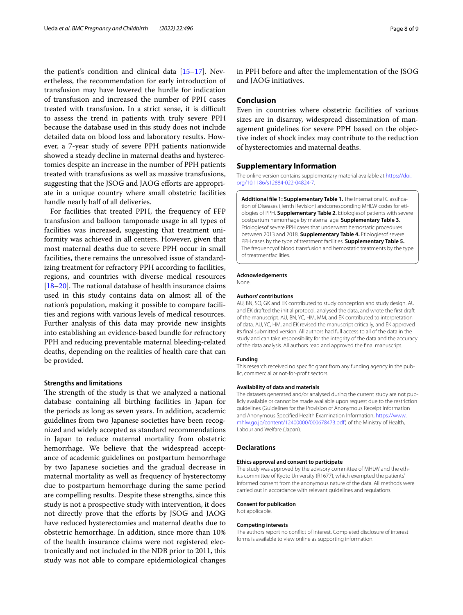the patient's condition and clinical data [[15](#page-8-13)[–17](#page-8-14)]. Nevertheless, the recommendation for early introduction of transfusion may have lowered the hurdle for indication of transfusion and increased the number of PPH cases treated with transfusion. In a strict sense, it is difficult to assess the trend in patients with truly severe PPH because the database used in this study does not include detailed data on blood loss and laboratory results. However, a 7-year study of severe PPH patients nationwide showed a steady decline in maternal deaths and hysterectomies despite an increase in the number of PPH patients treated with transfusions as well as massive transfusions, suggesting that the JSOG and JAOG eforts are appropriate in a unique country where small obstetric facilities handle nearly half of all deliveries.

For facilities that treated PPH, the frequency of FFP transfusion and balloon tamponade usage in all types of facilities was increased, suggesting that treatment uniformity was achieved in all centers. However, given that most maternal deaths due to severe PPH occur in small facilities, there remains the unresolved issue of standardizing treatment for refractory PPH according to facilities, regions, and countries with diverse medical resources [ $18-20$  $18-20$ ]. The national database of health insurance claims used in this study contains data on almost all of the nation's population, making it possible to compare facilities and regions with various levels of medical resources. Further analysis of this data may provide new insights into establishing an evidence-based bundle for refractory PPH and reducing preventable maternal bleeding-related deaths, depending on the realities of health care that can be provided.

#### **Strengths and limitations**

The strength of the study is that we analyzed a national database containing all birthing facilities in Japan for the periods as long as seven years. In addition, academic guidelines from two Japanese societies have been recognized and widely accepted as standard recommendations in Japan to reduce maternal mortality from obstetric hemorrhage. We believe that the widespread acceptance of academic guidelines on postpartum hemorrhage by two Japanese societies and the gradual decrease in maternal mortality as well as frequency of hysterectomy due to postpartum hemorrhage during the same period are compelling results. Despite these strengths, since this study is not a prospective study with intervention, it does not directly prove that the eforts by JSOG and JAOG have reduced hysterectomies and maternal deaths due to obstetric hemorrhage. In addition, since more than 10% of the health insurance claims were not registered electronically and not included in the NDB prior to 2011, this study was not able to compare epidemiological changes in PPH before and after the implementation of the JSOG and JAOG initiatives.

## **Conclusion**

Even in countries where obstetric facilities of various sizes are in disarray, widespread dissemination of management guidelines for severe PPH based on the objective index of shock index may contribute to the reduction of hysterectomies and maternal deaths.

### **Supplementary Information**

The online version contains supplementary material available at [https://doi.](https://doi.org/10.1186/s12884-022-04824-7) [org/10.1186/s12884-022-04824-7](https://doi.org/10.1186/s12884-022-04824-7).

<span id="page-7-0"></span>**Additional fle 1: Supplementary Table 1.** The International Classifcation of Diseases (Tenth Revision) andcorresponding MHLW codes for etiologies of PPH. **Supplementary Table 2.** Etiologiesof patients with severe postpartum hemorrhage by maternal age. **Supplementary Table 3.**  Etiologiesof severe PPH cases that underwent hemostatic procedures between 2013 and 2018. **Supplementary Table 4.** Etiologiesof severe PPH cases by the type of treatment facilities. **Supplementary Table 5.**  The frequencyof blood transfusion and hemostatic treatments by the type of treatmentfacilities.

#### **Acknowledgements**

None.

## **Authors' contributions**

AU, BN, SO, GK and EK contributed to study conception and study design. AU and EK drafted the initial protocol, analysed the data, and wrote the frst draft of the manuscript. AU, BN, YC, HM, MM, and EK contributed to interpretation of data. AU, YC, HM, and EK revised the manuscript critically, and EK approved its fnal submitted version. All authors had full access to all of the data in the study and can take responsibility for the integrity of the data and the accuracy of the data analysis. All authors read and approved the fnal manuscript.

#### **Funding**

This research received no specifc grant from any funding agency in the public, commercial or not‐for‐proft sectors.

#### **Availability of data and materials**

The datasets generated and/or analysed during the current study are not publicly available or cannot be made available upon request due to the restriction guidelines (Guidelines for the Provision of Anonymous Receipt Information and Anonymous Specifed Health Examination Information, [https://www.](https://www.mhlw.go.jp/content/12400000/000678473.pdf) [mhlw.go.jp/content/12400000/000678473.pdf](https://www.mhlw.go.jp/content/12400000/000678473.pdf)) of the Ministry of Health, Labour and Welfare (Japan).

#### **Declarations**

#### **Ethics approval and consent to participate**

The study was approved by the advisory committee of MHLW and the ethics committee of Kyoto University (R1677), which exempted the patients' informed consent from the anonymous nature of the data. All methods were carried out in accordance with relevant guidelines and regulations.

#### **Consent for publication**

Not applicable.

#### **Competing interests**

The authors report no confict of interest. Completed disclosure of interest forms is available to view online as supporting information.